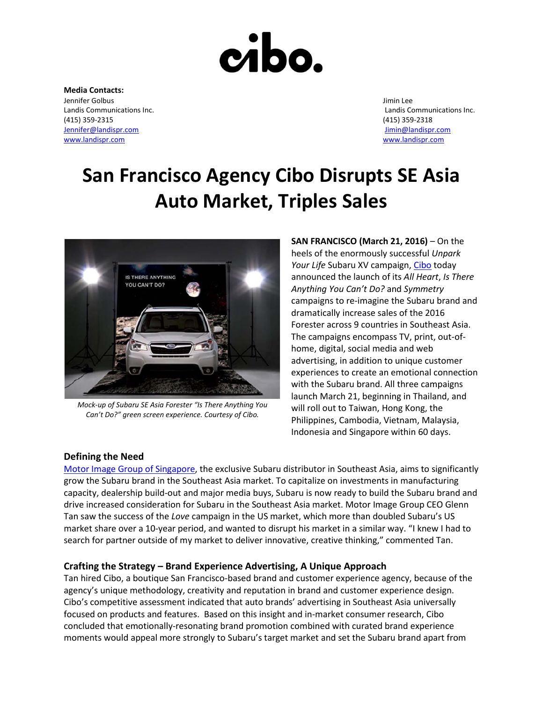

**Media Contacts:** Jennifer Golbus Jimin Lee (415) 359-2315 (415) 359-2318 [Jennifer@landispr.com](mailto:Jennifer@landispr.com) [Jimin@landispr.com](mailto:Jimin@landispr.com) [www.landispr.com](http://www.landispr.com/) [www.landispr.com](http://www.landispr.com/)

Landis Communications Inc. Landis Communications Inc.

# **San Francisco Agency Cibo Disrupts SE Asia Auto Market, Triples Sales**



*Mock-up of Subaru SE Asia Forester "Is There Anything You Can't Do?" green screen experience. Courtesy of Cibo.*

**SAN FRANCISCO (March 21, 2016)** – On the heels of the enormously successful *Unpark*  Your Life Subaru XV campaign, [Cibo](https://cibosf.com/) today announced the launch of its *All Heart*, *Is There Anything You Can't Do?* and *Symmetry* campaigns to re-imagine the Subaru brand and dramatically increase sales of the 2016 Forester across 9 countries in Southeast Asia. The campaigns encompass TV, print, out-ofhome, digital, social media and web advertising, in addition to unique customer experiences to create an emotional connection with the Subaru brand. All three campaigns launch March 21, beginning in Thailand, and will roll out to Taiwan, Hong Kong, the Philippines, Cambodia, Vietnam, Malaysia, Indonesia and Singapore within 60 days.

# **Defining the Need**

[Motor Image Group of Singapore,](http://www.subaru.asia/mig/en/home/) the exclusive Subaru distributor in Southeast Asia, aims to significantly grow the Subaru brand in the Southeast Asia market. To capitalize on investments in manufacturing capacity, dealership build-out and major media buys, Subaru is now ready to build the Subaru brand and drive increased consideration for Subaru in the Southeast Asia market. Motor Image Group CEO Glenn Tan saw the success of the *Love* campaign in the US market, which more than doubled Subaru's US market share over a 10-year period, and wanted to disrupt his market in a similar way. "I knew I had to search for partner outside of my market to deliver innovative, creative thinking," commented Tan.

# **Crafting the Strategy – Brand Experience Advertising, A Unique Approach**

Tan hired Cibo, a boutique San Francisco-based brand and customer experience agency, because of the agency's unique methodology, creativity and reputation in brand and customer experience design. Cibo's competitive assessment indicated that auto brands' advertising in Southeast Asia universally focused on products and features. Based on this insight and in-market consumer research, Cibo concluded that emotionally-resonating brand promotion combined with curated brand experience moments would appeal more strongly to Subaru's target market and set the Subaru brand apart from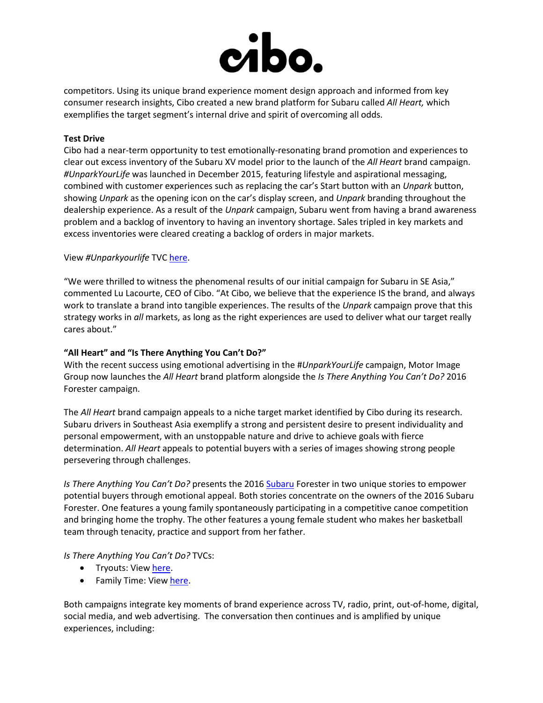

competitors. Using its unique brand experience moment design approach and informed from key consumer research insights, Cibo created a new brand platform for Subaru called *All Heart,* which exemplifies the target segment's internal drive and spirit of overcoming all odds.

# **Test Drive**

Cibo had a near-term opportunity to test emotionally-resonating brand promotion and experiences to clear out excess inventory of the Subaru XV model prior to the launch of the *All Heart* brand campaign. *#UnparkYourLife* was launched in December 2015, featuring lifestyle and aspirational messaging, combined with customer experiences such as replacing the car's Start button with an *Unpark* button, showing *Unpark* as the opening icon on the car's display screen, and *Unpark* branding throughout the dealership experience. As a result of the *Unpark* campaign, Subaru went from having a brand awareness problem and a backlog of inventory to having an inventory shortage. Sales tripled in key markets and excess inventories were cleared creating a backlog of orders in major markets.

# View *#Unparkyourlife* TVC [here.](https://cibo.box.com/s/lpbpm82dc7mlj25us7bkg6vjpl3n2g06)

"We were thrilled to witness the phenomenal results of our initial campaign for Subaru in SE Asia," commented Lu Lacourte, CEO of Cibo. "At Cibo, we believe that the experience IS the brand, and always work to translate a brand into tangible experiences. The results of the *Unpark* campaign prove that this strategy works in *all* markets, as long as the right experiences are used to deliver what our target really cares about."

# **"All Heart" and "Is There Anything You Can't Do?"**

With the recent success using emotional advertising in the #*UnparkYourLife* campaign, Motor Image Group now launches the *All Heart* brand platform alongside the *Is There Anything You Can't Do?* 2016 Forester campaign.

The *All Heart* brand campaign appeals to a niche target market identified by Cibo during its research. Subaru drivers in Southeast Asia exemplify a strong and persistent desire to present individuality and personal empowerment, with an unstoppable nature and drive to achieve goals with fierce determination. *All Heart* appeals to potential buyers with a series of images showing strong people persevering through challenges.

*Is There Anything You Can't Do?* presents the 2016 [Subaru](http://www.subaru.asia/) Forester in two unique stories to empower potential buyers through emotional appeal. Both stories concentrate on the owners of the 2016 Subaru Forester. One features a young family spontaneously participating in a competitive canoe competition and bringing home the trophy. The other features a young female student who makes her basketball team through tenacity, practice and support from her father.

# *Is There Anything You Can't Do?* TVCs:

- Tryouts: View [here.](https://cibo.box.com/s/2ivue75jpqlue4jq9p1lne1poygd08rv)
- Family Time: View [here.](https://cibo.box.com/s/h0fw8gjj3oj0jku15qq55myqmxa70375)

Both campaigns integrate key moments of brand experience across TV, radio, print, out-of-home, digital, social media, and web advertising. The conversation then continues and is amplified by unique experiences, including: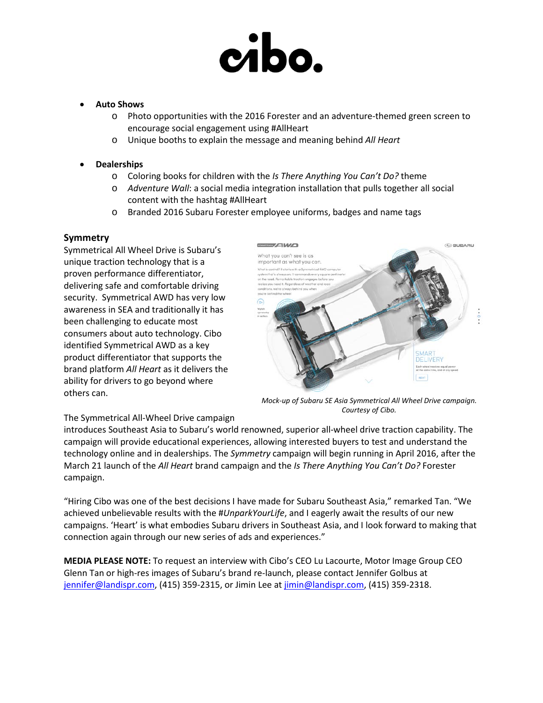# cibo.

### • **Auto Shows**

- o Photo opportunities with the 2016 Forester and an adventure-themed green screen to encourage social engagement using #AllHeart
- o Unique booths to explain the message and meaning behind *All Heart*

# • **Dealerships**

- o Coloring books for children with the *Is There Anything You Can't Do?* theme
- o *Adventure Wall*: a social media integration installation that pulls together all social content with the hashtag #AllHeart
- o Branded 2016 Subaru Forester employee uniforms, badges and name tags

# **Symmetry**

Symmetrical All Wheel Drive is Subaru's unique traction technology that is a proven performance differentiator, delivering safe and comfortable driving security. Symmetrical AWD has very low awareness in SEA and traditionally it has been challenging to educate most consumers about auto technology. Cibo identified Symmetrical AWD as a key product differentiator that supports the brand platform *All Heart* as it delivers the ability for drivers to go beyond where others can.



*Mock-up of Subaru SE Asia Symmetrical All Wheel Drive campaign. Courtesy of Cibo.*

# The Symmetrical All-Wheel Drive campaign

introduces Southeast Asia to Subaru's world renowned, superior all-wheel drive traction capability. The campaign will provide educational experiences, allowing interested buyers to test and understand the technology online and in dealerships. The *Symmetry* campaign will begin running in April 2016, after the March 21 launch of the *All Heart* brand campaign and the *Is There Anything You Can't Do?* Forester campaign.

"Hiring Cibo was one of the best decisions I have made for Subaru Southeast Asia," remarked Tan. "We achieved unbelievable results with the #*UnparkYourLife*, and I eagerly await the results of our new campaigns. 'Heart' is what embodies Subaru drivers in Southeast Asia, and I look forward to making that connection again through our new series of ads and experiences."

**MEDIA PLEASE NOTE:** To request an interview with Cibo's CEO Lu Lacourte, Motor Image Group CEO Glenn Tan or high-res images of Subaru's brand re-launch, please contact Jennifer Golbus at [jennifer@landispr.com,](mailto:jennifer@landispr.com) (415) 359-2315, or Jimin Lee a[t jimin@landispr.com,](mailto:jimin@landispr.com) (415) 359-2318.